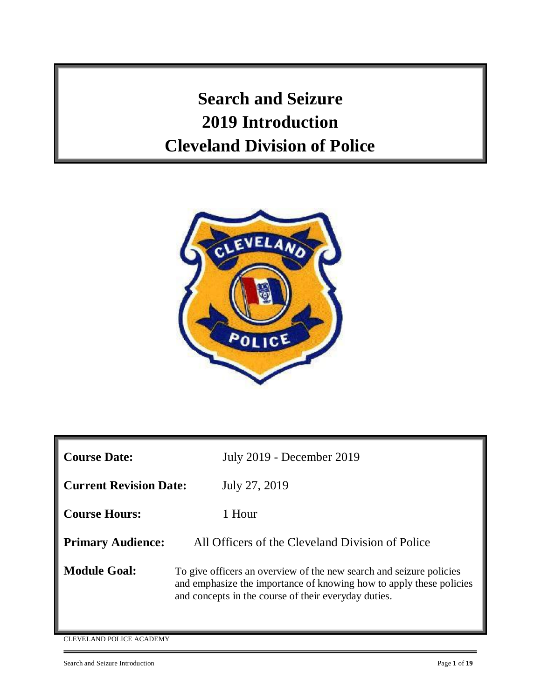# **Search and Seizure 2019 Introduction Cleveland Division of Police**



| <b>Course Date:</b>           | July 2019 - December 2019                                                                                                                                                                          |
|-------------------------------|----------------------------------------------------------------------------------------------------------------------------------------------------------------------------------------------------|
| <b>Current Revision Date:</b> | July 27, 2019                                                                                                                                                                                      |
| <b>Course Hours:</b>          | 1 Hour                                                                                                                                                                                             |
| <b>Primary Audience:</b>      | All Officers of the Cleveland Division of Police                                                                                                                                                   |
| <b>Module Goal:</b>           | To give officers an overview of the new search and seizure policies<br>and emphasize the importance of knowing how to apply these policies<br>and concepts in the course of their everyday duties. |

CLEVELAND POLICE ACADEMY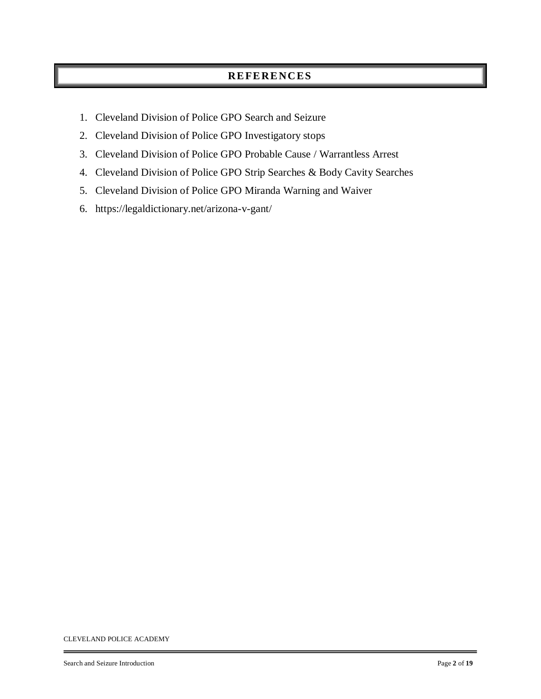## **RE FE RE NC ES**

- 1. Cleveland Division of Police GPO Search and Seizure
- 2. Cleveland Division of Police GPO Investigatory stops
- 3. Cleveland Division of Police GPO Probable Cause / Warrantless Arrest
- 4. Cleveland Division of Police GPO Strip Searches & Body Cavity Searches
- 5. Cleveland Division of Police GPO Miranda Warning and Waiver
- 6. https://legaldictionary.net/arizona-v-gant/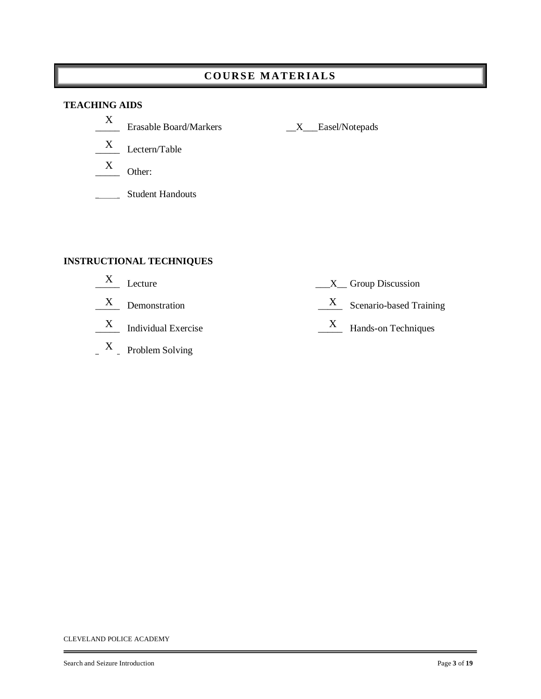## **COURSE MATERIALS**

### **TEACHING AIDS**

| X            | <b>Erasable Board/Markers</b> | $X$ <sub>__</sub> Easel/Notepads |
|--------------|-------------------------------|----------------------------------|
|              | $X$ Lectern/Table             |                                  |
| $\mathbf{X}$ | Other:                        |                                  |
|              | <b>Student Handouts</b>       |                                  |

## **INSTRUCTIONAL TECHNIQUES**

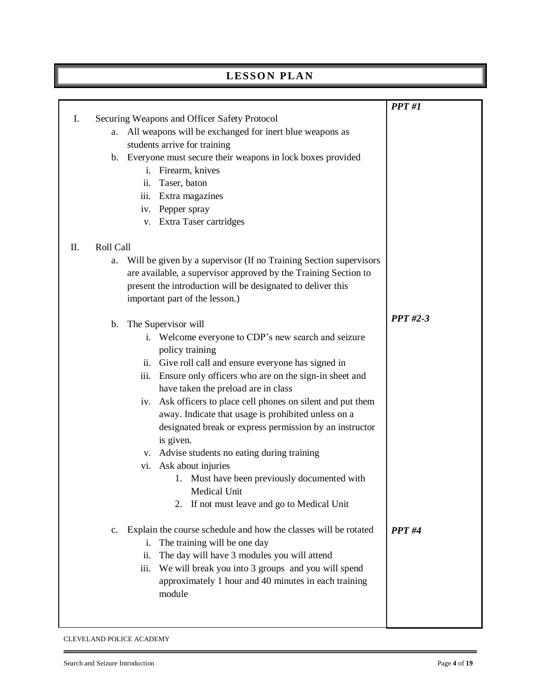## **LESSON PLAN**

|    |                |                                                                   | PPT#1           |
|----|----------------|-------------------------------------------------------------------|-----------------|
| I. |                | Securing Weapons and Officer Safety Protocol                      |                 |
|    | a.             | All weapons will be exchanged for inert blue weapons as           |                 |
|    |                | students arrive for training                                      |                 |
|    |                | b. Everyone must secure their weapons in lock boxes provided      |                 |
|    |                | i. Firearm, knives                                                |                 |
|    |                | Taser, baton<br>ii.                                               |                 |
|    |                | iii.<br>Extra magazines                                           |                 |
|    |                | iv. Pepper spray                                                  |                 |
|    |                | v. Extra Taser cartridges                                         |                 |
| П. | Roll Call      |                                                                   |                 |
|    | a.             | Will be given by a supervisor (If no Training Section supervisors |                 |
|    |                | are available, a supervisor approved by the Training Section to   |                 |
|    |                | present the introduction will be designated to deliver this       |                 |
|    |                | important part of the lesson.)                                    |                 |
|    |                |                                                                   | <b>PPT</b> #2-3 |
|    | b.             | The Supervisor will                                               |                 |
|    |                | i. Welcome everyone to CDP's new search and seizure               |                 |
|    |                | policy training                                                   |                 |
|    |                | ii. Give roll call and ensure everyone has signed in              |                 |
|    |                | Ensure only officers who are on the sign-in sheet and<br>iii.     |                 |
|    |                | have taken the preload are in class                               |                 |
|    |                | iv. Ask officers to place cell phones on silent and put them      |                 |
|    |                | away. Indicate that usage is prohibited unless on a               |                 |
|    |                | designated break or express permission by an instructor           |                 |
|    |                | is given.                                                         |                 |
|    |                | v. Advise students no eating during training                      |                 |
|    |                | vi. Ask about injuries                                            |                 |
|    |                | Must have been previously documented with<br>1.<br>Medical Unit   |                 |
|    |                | 2. If not must leave and go to Medical Unit                       |                 |
|    |                |                                                                   |                 |
|    | $\mathbf{c}$ . | Explain the course schedule and how the classes will be rotated   | <b>PPT#4</b>    |
|    |                | The training will be one day<br>i.                                |                 |
|    |                | ii.<br>The day will have 3 modules you will attend                |                 |
|    |                | We will break you into 3 groups and you will spend<br>iii.        |                 |
|    |                | approximately 1 hour and 40 minutes in each training              |                 |
|    |                | module                                                            |                 |
|    |                |                                                                   |                 |
|    |                |                                                                   |                 |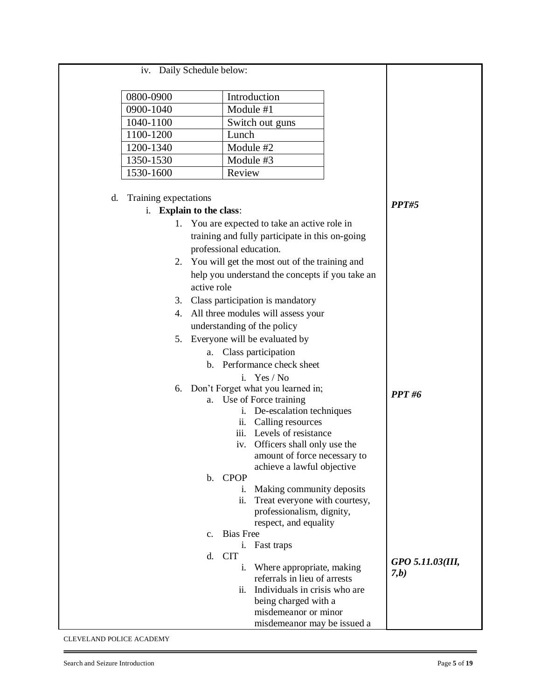| 0800-0900                   | Introduction                                       |                  |
|-----------------------------|----------------------------------------------------|------------------|
| 0900-1040                   | Module #1                                          |                  |
| 1040-1100                   | Switch out guns                                    |                  |
| 1100-1200                   | Lunch                                              |                  |
| 1200-1340                   | Module #2                                          |                  |
| 1350-1530                   | Module #3                                          |                  |
| 1530-1600                   | Review                                             |                  |
| Training expectations<br>d. |                                                    |                  |
|                             | i. Explain to the class:                           | <b>PPT#5</b>     |
|                             | 1. You are expected to take an active role in      |                  |
|                             | training and fully participate in this on-going    |                  |
|                             | professional education.                            |                  |
|                             |                                                    |                  |
| 2.                          | You will get the most out of the training and      |                  |
|                             | help you understand the concepts if you take an    |                  |
|                             | active role                                        |                  |
|                             | 3. Class participation is mandatory                |                  |
| 4.                          | All three modules will assess your                 |                  |
|                             | understanding of the policy                        |                  |
|                             | 5. Everyone will be evaluated by                   |                  |
|                             | Class participation<br>a.                          |                  |
|                             | b. Performance check sheet                         |                  |
|                             | i. $Yes / No$                                      |                  |
|                             | 6. Don't Forget what you learned in;               | <b>PPT#6</b>     |
|                             | a. Use of Force training                           |                  |
|                             | i. De-escalation techniques                        |                  |
|                             | ii. Calling resources<br>iii. Levels of resistance |                  |
|                             | iv. Officers shall only use the                    |                  |
|                             | amount of force necessary to                       |                  |
|                             | achieve a lawful objective                         |                  |
|                             | b. CPOP                                            |                  |
|                             | Making community deposits<br>1.                    |                  |
|                             | Treat everyone with courtesy,<br>ii.               |                  |
|                             | professionalism, dignity,                          |                  |
|                             | respect, and equality                              |                  |
|                             | <b>Bias Free</b><br>$c_{\cdot}$                    |                  |
|                             | i. Fast traps<br><b>CIT</b><br>d.                  |                  |
|                             | Where appropriate, making<br>i.                    | GPO 5.11.03(III, |
|                             | referrals in lieu of arrests                       | 7,b)             |
|                             | Individuals in crisis who are<br>11.               |                  |
|                             | being charged with a                               |                  |
|                             | misdemeanor or minor                               |                  |
|                             | misdemeanor may be issued a                        |                  |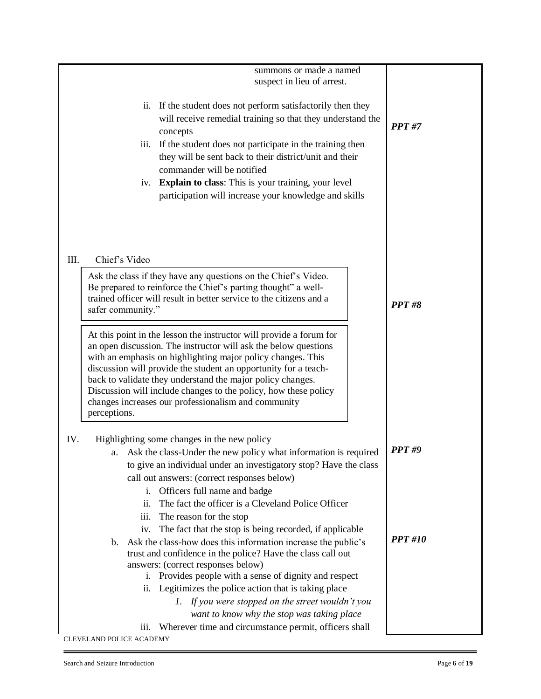| summons or made a named                                                                                                                                                                                                                                                                                                                                                                                                                                                                                                                                                                                                                                                                                                                                                                                                              |                |
|--------------------------------------------------------------------------------------------------------------------------------------------------------------------------------------------------------------------------------------------------------------------------------------------------------------------------------------------------------------------------------------------------------------------------------------------------------------------------------------------------------------------------------------------------------------------------------------------------------------------------------------------------------------------------------------------------------------------------------------------------------------------------------------------------------------------------------------|----------------|
| suspect in lieu of arrest.<br>ii. If the student does not perform satisfactorily then they<br>will receive remedial training so that they understand the<br>concepts<br>If the student does not participate in the training then<br>iii.<br>they will be sent back to their district/unit and their<br>commander will be notified<br><b>Explain to class:</b> This is your training, your level<br>1V.<br>participation will increase your knowledge and skills                                                                                                                                                                                                                                                                                                                                                                      | <b>PPT</b> #7  |
| Ш.<br>Chief's Video<br>Ask the class if they have any questions on the Chief's Video.<br>Be prepared to reinforce the Chief's parting thought" a well-<br>trained officer will result in better service to the citizens and a<br>safer community."                                                                                                                                                                                                                                                                                                                                                                                                                                                                                                                                                                                   | <b>PPT#8</b>   |
| At this point in the lesson the instructor will provide a forum for<br>an open discussion. The instructor will ask the below questions<br>with an emphasis on highlighting major policy changes. This<br>discussion will provide the student an opportunity for a teach-<br>back to validate they understand the major policy changes.<br>Discussion will include changes to the policy, how these policy<br>changes increases our professionalism and community<br>perceptions.                                                                                                                                                                                                                                                                                                                                                     |                |
| IV.<br>Highlighting some changes in the new policy<br>Ask the class-Under the new policy what information is required<br>a.                                                                                                                                                                                                                                                                                                                                                                                                                                                                                                                                                                                                                                                                                                          | <b>PPT#9</b>   |
| to give an individual under an investigatory stop? Have the class<br>call out answers: (correct responses below)<br>Officers full name and badge<br>i.<br>The fact the officer is a Cleveland Police Officer<br>ii.<br>The reason for the stop<br>iii.<br>The fact that the stop is being recorded, if applicable<br>iv.<br>Ask the class-how does this information increase the public's<br>$\mathbf{b}$ .<br>trust and confidence in the police? Have the class call out<br>answers: (correct responses below)<br>i. Provides people with a sense of dignity and respect<br>ii. Legitimizes the police action that is taking place<br>1. If you were stopped on the street wouldn't you<br>want to know why the stop was taking place<br>Wherever time and circumstance permit, officers shall<br>iii.<br>CLEVELAND POLICE ACADEMY | <b>PPT</b> #10 |

 $\overline{a}$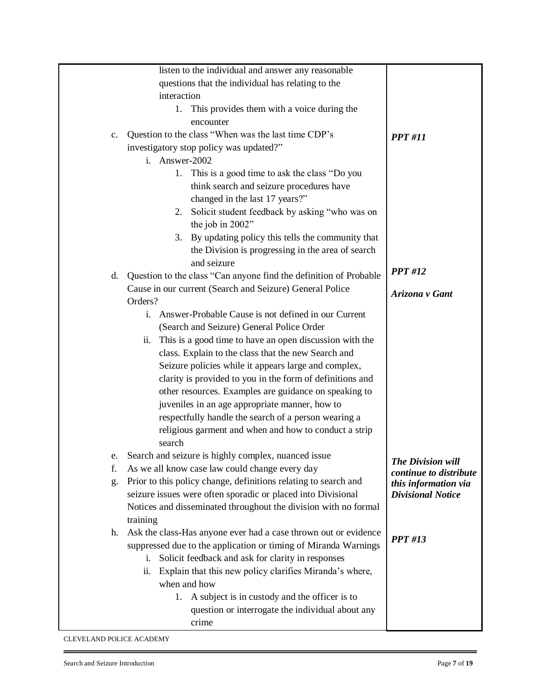|                | listen to the individual and answer any reasonable                |                          |
|----------------|-------------------------------------------------------------------|--------------------------|
|                | questions that the individual has relating to the                 |                          |
|                | interaction                                                       |                          |
|                | This provides them with a voice during the<br>1.                  |                          |
|                | encounter                                                         |                          |
| $\mathbf{c}$ . | Question to the class "When was the last time CDP's               | <b>PPT</b> #11           |
|                | investigatory stop policy was updated?"                           |                          |
|                | i. Answer-2002                                                    |                          |
|                | This is a good time to ask the class "Do you<br>1.                |                          |
|                | think search and seizure procedures have                          |                          |
|                | changed in the last 17 years?"                                    |                          |
|                | Solicit student feedback by asking "who was on<br>2.              |                          |
|                | the job in 2002"                                                  |                          |
|                | By updating policy this tells the community that<br>3.            |                          |
|                | the Division is progressing in the area of search                 |                          |
|                | and seizure                                                       |                          |
| d.             | Question to the class "Can anyone find the definition of Probable | <b>PPT</b> #12           |
|                | Cause in our current (Search and Seizure) General Police          | Arizona v Gant           |
|                | Orders?                                                           |                          |
|                | i. Answer-Probable Cause is not defined in our Current            |                          |
|                | (Search and Seizure) General Police Order                         |                          |
|                | ii. This is a good time to have an open discussion with the       |                          |
|                | class. Explain to the class that the new Search and               |                          |
|                | Seizure policies while it appears large and complex,              |                          |
|                | clarity is provided to you in the form of definitions and         |                          |
|                | other resources. Examples are guidance on speaking to             |                          |
|                | juveniles in an age appropriate manner, how to                    |                          |
|                | respectfully handle the search of a person wearing a              |                          |
|                | religious garment and when and how to conduct a strip             |                          |
|                | search                                                            |                          |
| e.             | Search and seizure is highly complex, nuanced issue               | <b>The Division will</b> |
| f.             | As we all know case law could change every day                    | continue to distribute   |
| g.             | Prior to this policy change, definitions relating to search and   | this information via     |
|                | seizure issues were often sporadic or placed into Divisional      | <b>Divisional Notice</b> |
|                | Notices and disseminated throughout the division with no formal   |                          |
|                | training                                                          |                          |
| h.             | Ask the class-Has anyone ever had a case thrown out or evidence   | <b>PPT</b> #13           |
|                | suppressed due to the application or timing of Miranda Warnings   |                          |
|                | Solicit feedback and ask for clarity in responses<br>i.           |                          |
|                | Explain that this new policy clarifies Miranda's where,<br>11.    |                          |
|                | when and how                                                      |                          |
|                | A subject is in custody and the officer is to<br>1.               |                          |
|                | question or interrogate the individual about any                  |                          |
|                | crime                                                             |                          |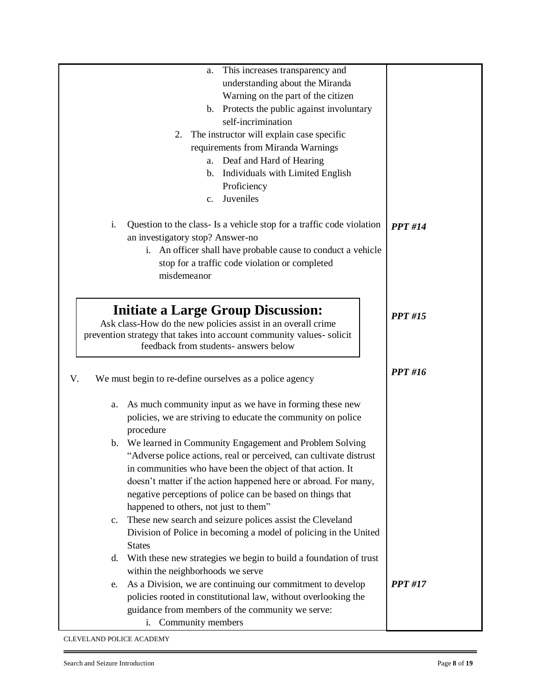| This increases transparency and<br>a.<br>understanding about the Miranda<br>Warning on the part of the citizen<br>b. Protects the public against involuntary<br>self-incrimination<br>The instructor will explain case specific<br>2.<br>requirements from Miranda Warnings<br>a. Deaf and Hard of Hearing<br>Individuals with Limited English<br>b.<br>Proficiency<br>Juveniles<br>$\mathbf{c}$ .                                                                                                                                                                                                                                                                                                                                                                                                                                                                                                                                                                                                                          |                |
|-----------------------------------------------------------------------------------------------------------------------------------------------------------------------------------------------------------------------------------------------------------------------------------------------------------------------------------------------------------------------------------------------------------------------------------------------------------------------------------------------------------------------------------------------------------------------------------------------------------------------------------------------------------------------------------------------------------------------------------------------------------------------------------------------------------------------------------------------------------------------------------------------------------------------------------------------------------------------------------------------------------------------------|----------------|
| Question to the class-Is a vehicle stop for a traffic code violation<br>i.<br>an investigatory stop? Answer-no<br>i. An officer shall have probable cause to conduct a vehicle<br>stop for a traffic code violation or completed<br>misdemeanor                                                                                                                                                                                                                                                                                                                                                                                                                                                                                                                                                                                                                                                                                                                                                                             | <b>PPT</b> #14 |
| <b>Initiate a Large Group Discussion:</b><br>Ask class-How do the new policies assist in an overall crime<br>prevention strategy that takes into account community values- solicit<br>feedback from students- answers below                                                                                                                                                                                                                                                                                                                                                                                                                                                                                                                                                                                                                                                                                                                                                                                                 | <b>PPT#15</b>  |
| V.<br>We must begin to re-define ourselves as a police agency                                                                                                                                                                                                                                                                                                                                                                                                                                                                                                                                                                                                                                                                                                                                                                                                                                                                                                                                                               | <b>PPT</b> #16 |
| As much community input as we have in forming these new<br>a.<br>policies, we are striving to educate the community on police<br>procedure<br>b. We learned in Community Engagement and Problem Solving<br>"Adverse police actions, real or perceived, can cultivate distrust<br>in communities who have been the object of that action. It<br>doesn't matter if the action happened here or abroad. For many,<br>negative perceptions of police can be based on things that<br>happened to others, not just to them"<br>These new search and seizure polices assist the Cleveland<br>$\mathbf{c}$ .<br>Division of Police in becoming a model of policing in the United<br><b>States</b><br>With these new strategies we begin to build a foundation of trust<br>d.<br>within the neighborhoods we serve<br>As a Division, we are continuing our commitment to develop<br>e.<br>policies rooted in constitutional law, without overlooking the<br>guidance from members of the community we serve:<br>i. Community members | <b>PPT</b> #17 |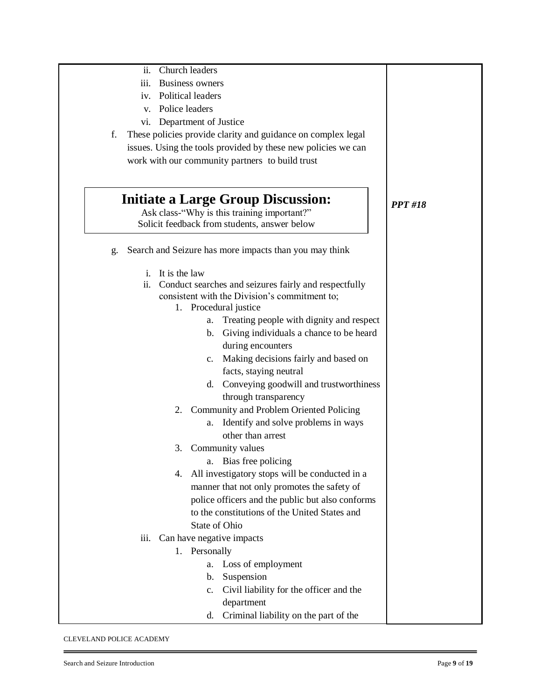| ii.<br>Church leaders                                              |                |
|--------------------------------------------------------------------|----------------|
| iii.<br><b>Business owners</b>                                     |                |
| iv. Political leaders                                              |                |
| v. Police leaders                                                  |                |
| vi. Department of Justice                                          |                |
| These policies provide clarity and guidance on complex legal<br>f. |                |
| issues. Using the tools provided by these new policies we can      |                |
| work with our community partners to build trust                    |                |
|                                                                    |                |
|                                                                    |                |
| <b>Initiate a Large Group Discussion:</b>                          | <b>PPT</b> #18 |
| Ask class-"Why is this training important?"                        |                |
| Solicit feedback from students, answer below                       |                |
|                                                                    |                |
| Search and Seizure has more impacts than you may think<br>g.       |                |
|                                                                    |                |
| i. It is the law                                                   |                |
| Conduct searches and seizures fairly and respectfully<br>11.       |                |
| consistent with the Division's commitment to;                      |                |
| 1. Procedural justice                                              |                |
| Treating people with dignity and respect<br>a.                     |                |
| Giving individuals a chance to be heard<br>$\mathbf{b}$ .          |                |
| during encounters                                                  |                |
| Making decisions fairly and based on<br>$c_{\cdot}$                |                |
| facts, staying neutral                                             |                |
| d. Conveying goodwill and trustworthiness                          |                |
| through transparency                                               |                |
| 2. Community and Problem Oriented Policing                         |                |
| Identify and solve problems in ways<br>a.                          |                |
| other than arrest                                                  |                |
| Community values<br>3.                                             |                |
| Bias free policing<br>a.                                           |                |
| All investigatory stops will be conducted in a<br>4.               |                |
| manner that not only promotes the safety of                        |                |
| police officers and the public but also conforms                   |                |
| to the constitutions of the United States and                      |                |
| <b>State of Ohio</b>                                               |                |
| Can have negative impacts<br>iii.                                  |                |
| 1. Personally                                                      |                |
| a. Loss of employment                                              |                |
| Suspension<br>b.                                                   |                |
| Civil liability for the officer and the<br>$\mathbf{c}$ .          |                |
| department                                                         |                |
| Criminal liability on the part of the<br>d.                        |                |
|                                                                    |                |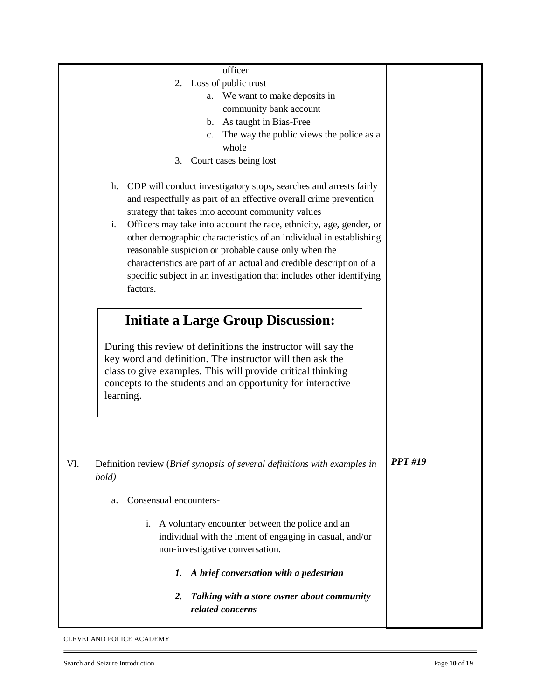| officer<br>2. Loss of public trust                                                                                                                                                                                                                                                                                 |               |
|--------------------------------------------------------------------------------------------------------------------------------------------------------------------------------------------------------------------------------------------------------------------------------------------------------------------|---------------|
| a. We want to make deposits in                                                                                                                                                                                                                                                                                     |               |
| community bank account<br>As taught in Bias-Free<br>b.                                                                                                                                                                                                                                                             |               |
| The way the public views the police as a<br>$c_{\cdot}$                                                                                                                                                                                                                                                            |               |
| whole                                                                                                                                                                                                                                                                                                              |               |
| Court cases being lost<br>3.                                                                                                                                                                                                                                                                                       |               |
| CDP will conduct investigatory stops, searches and arrests fairly<br>h.                                                                                                                                                                                                                                            |               |
| and respectfully as part of an effective overall crime prevention                                                                                                                                                                                                                                                  |               |
| strategy that takes into account community values<br>Officers may take into account the race, ethnicity, age, gender, or<br>i.                                                                                                                                                                                     |               |
| other demographic characteristics of an individual in establishing                                                                                                                                                                                                                                                 |               |
| reasonable suspicion or probable cause only when the                                                                                                                                                                                                                                                               |               |
| characteristics are part of an actual and credible description of a                                                                                                                                                                                                                                                |               |
| specific subject in an investigation that includes other identifying                                                                                                                                                                                                                                               |               |
| factors.                                                                                                                                                                                                                                                                                                           |               |
| <b>Initiate a Large Group Discussion:</b><br>During this review of definitions the instructor will say the<br>key word and definition. The instructor will then ask the<br>class to give examples. This will provide critical thinking<br>concepts to the students and an opportunity for interactive<br>learning. |               |
| Definition review (Brief synopsis of several definitions with examples in<br>VI.<br>bold)                                                                                                                                                                                                                          | <b>PPT#19</b> |
| Consensual encounters-<br>a.                                                                                                                                                                                                                                                                                       |               |
| A voluntary encounter between the police and an<br>i.<br>individual with the intent of engaging in casual, and/or<br>non-investigative conversation.                                                                                                                                                               |               |
| A brief conversation with a pedestrian<br>1.                                                                                                                                                                                                                                                                       |               |
| Talking with a store owner about community<br>2.<br>related concerns                                                                                                                                                                                                                                               |               |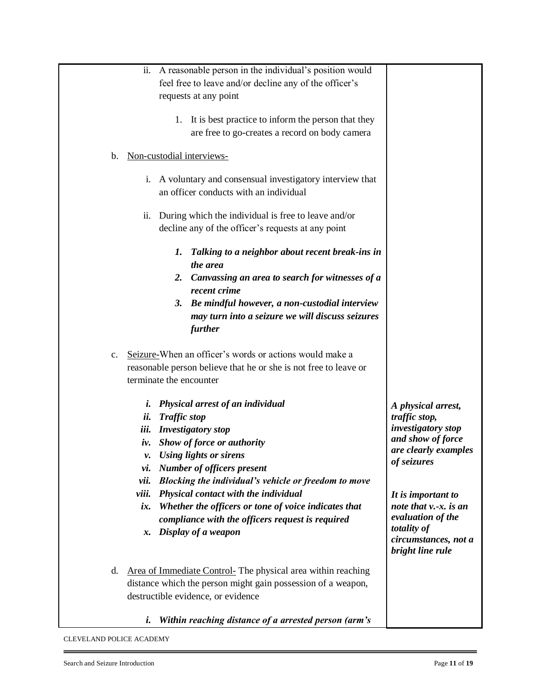| A reasonable person in the individual's position would<br>ii.                                                                          |                                          |
|----------------------------------------------------------------------------------------------------------------------------------------|------------------------------------------|
| feel free to leave and/or decline any of the officer's                                                                                 |                                          |
| requests at any point                                                                                                                  |                                          |
|                                                                                                                                        |                                          |
| It is best practice to inform the person that they<br>1.                                                                               |                                          |
| are free to go-creates a record on body camera                                                                                         |                                          |
|                                                                                                                                        |                                          |
| Non-custodial interviews-<br>b.                                                                                                        |                                          |
| i. A voluntary and consensual investigatory interview that<br>an officer conducts with an individual                                   |                                          |
| During which the individual is free to leave and/or<br>$\overline{\mathbf{u}}$ .<br>decline any of the officer's requests at any point |                                          |
| 1.<br>Talking to a neighbor about recent break-ins in<br>the area                                                                      |                                          |
| Canvassing an area to search for witnesses of a<br>2.<br>recent crime                                                                  |                                          |
| 3. Be mindful however, a non-custodial interview                                                                                       |                                          |
| may turn into a seizure we will discuss seizures                                                                                       |                                          |
| further                                                                                                                                |                                          |
|                                                                                                                                        |                                          |
| Seizure-When an officer's words or actions would make a<br>$\mathbf{c}$ .                                                              |                                          |
| reasonable person believe that he or she is not free to leave or                                                                       |                                          |
| terminate the encounter                                                                                                                |                                          |
|                                                                                                                                        |                                          |
| Physical arrest of an individual<br>i.                                                                                                 | A physical arrest,                       |
| <b>Traffic stop</b><br>ii.                                                                                                             | traffic stop,                            |
| <b>Investigatory stop</b><br>iii.                                                                                                      | investigatory stop                       |
| iv. Show of force or authority                                                                                                         | and show of force                        |
| <i>v.</i> Using lights or sirens                                                                                                       | are clearly examples                     |
| <b>Number of officers present</b><br>vi.                                                                                               | of seizures                              |
| Blocking the individual's vehicle or freedom to move<br>vii.                                                                           |                                          |
| Physical contact with the individual<br>viii.                                                                                          | It is important to                       |
| Whether the officers or tone of voice indicates that<br>ix.                                                                            | note that $v.-x.$ is an                  |
| compliance with the officers request is required                                                                                       | evaluation of the                        |
| Display of a weapon<br>x.                                                                                                              | totality of                              |
|                                                                                                                                        | circumstances, not a<br>bright line rule |
| Area of Immediate Control- The physical area within reaching<br>d.                                                                     |                                          |
| distance which the person might gain possession of a weapon,                                                                           |                                          |
| destructible evidence, or evidence                                                                                                     |                                          |
|                                                                                                                                        |                                          |
| Within reaching distance of a arrested person (arm's<br>i.                                                                             |                                          |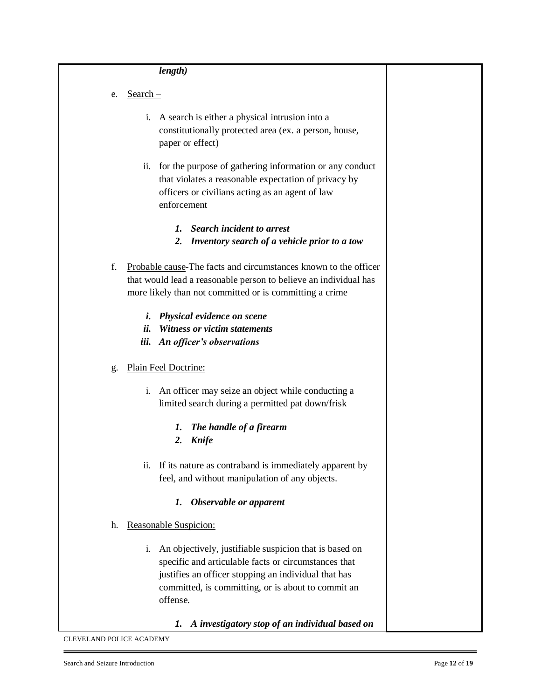#### *length)*

- e. Search
	- i. A search is either a physical intrusion into a constitutionally protected area (ex. a person, house, paper or effect)
	- ii. for the purpose of gathering information or any conduct that violates a reasonable expectation of privacy by officers or civilians acting as an agent of law enforcement
		- *1. Search incident to arrest*
		- *2. Inventory search of a vehicle prior to a tow*
- f. Probable cause-The facts and circumstances known to the officer that would lead a reasonable person to believe an individual has more likely than not committed or is committing a crime
	- *i. Physical evidence on scene*
	- *ii. Witness or victim statements*
	- *iii. An officer's observations*

#### g. Plain Feel Doctrine:

i. An officer may seize an object while conducting a limited search during a permitted pat down/frisk

#### *1. The handle of a firearm 2. Knife*

ii. If its nature as contraband is immediately apparent by feel, and without manipulation of any objects.

#### *1. Observable or apparent*

h. Reasonable Suspicion:

- i. An objectively, justifiable suspicion that is based on specific and articulable facts or circumstances that justifies an officer stopping an individual that has committed, is committing, or is about to commit an offense.
	- *1. A investigatory stop of an individual based on*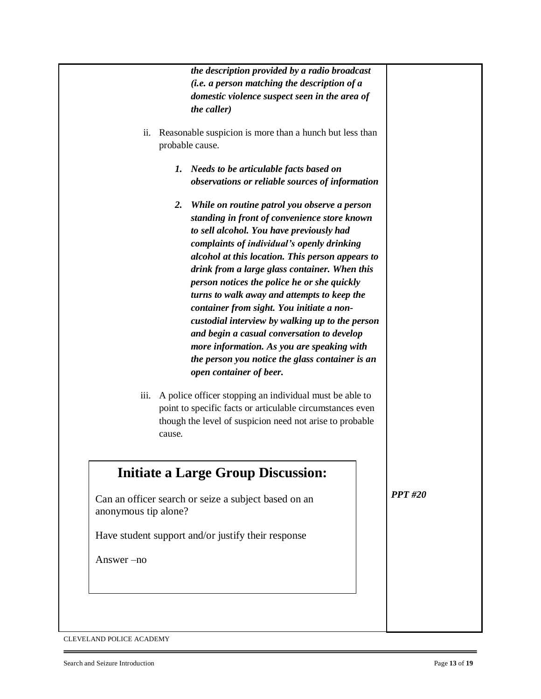*the description provided by a radio broadcast (i.e. a person matching the description of a domestic violence suspect seen in the area of the caller)*

- ii. Reasonable suspicion is more than a hunch but less than probable cause.
	- *1. Needs to be articulable facts based on observations or reliable sources of information*
	- *2. While on routine patrol you observe a person standing in front of convenience store known to sell alcohol. You have previously had complaints of individual's openly drinking alcohol at this location. This person appears to drink from a large glass container. When this person notices the police he or she quickly turns to walk away and attempts to keep the container from sight. You initiate a noncustodial interview by walking up to the person and begin a casual conversation to develop more information. As you are speaking with the person you notice the glass container is an open container of beer.*
- iii. A police officer stopping an individual must be able to point to specific facts or articulable circumstances even though the level of suspicion need not arise to probable cause.

## **Initiate a Large Group Discussion:**

Can an officer search or seize a subject based on an anonymous tip alone?

Have student support and/or justify their response

Answer –no

*PPT #20*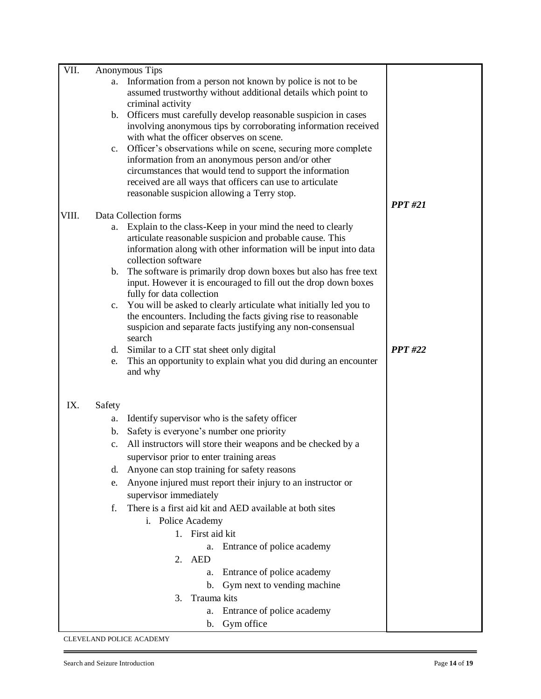| VII.  |                | Anonymous Tips                                                                                                                                                              |                |
|-------|----------------|-----------------------------------------------------------------------------------------------------------------------------------------------------------------------------|----------------|
|       | a.             | Information from a person not known by police is not to be<br>assumed trustworthy without additional details which point to<br>criminal activity                            |                |
|       | b.             | Officers must carefully develop reasonable suspicion in cases<br>involving anonymous tips by corroborating information received<br>with what the officer observes on scene. |                |
|       | c.             | Officer's observations while on scene, securing more complete                                                                                                               |                |
|       |                | information from an anonymous person and/or other<br>circumstances that would tend to support the information                                                               |                |
|       |                | received are all ways that officers can use to articulate                                                                                                                   |                |
|       |                | reasonable suspicion allowing a Terry stop.                                                                                                                                 |                |
|       |                |                                                                                                                                                                             | <b>PPT</b> #21 |
| VIII. | a.             | Data Collection forms<br>Explain to the class-Keep in your mind the need to clearly                                                                                         |                |
|       |                | articulate reasonable suspicion and probable cause. This                                                                                                                    |                |
|       |                | information along with other information will be input into data                                                                                                            |                |
|       |                | collection software                                                                                                                                                         |                |
|       | b.             | The software is primarily drop down boxes but also has free text<br>input. However it is encouraged to fill out the drop down boxes                                         |                |
|       |                | fully for data collection                                                                                                                                                   |                |
|       | c.             | You will be asked to clearly articulate what initially led you to                                                                                                           |                |
|       |                | the encounters. Including the facts giving rise to reasonable                                                                                                               |                |
|       |                | suspicion and separate facts justifying any non-consensual<br>search                                                                                                        |                |
|       |                | d. Similar to a CIT stat sheet only digital                                                                                                                                 | <b>PPT</b> #22 |
|       | e.             | This an opportunity to explain what you did during an encounter                                                                                                             |                |
|       |                | and why                                                                                                                                                                     |                |
|       |                |                                                                                                                                                                             |                |
| IX.   | Safety         |                                                                                                                                                                             |                |
|       | a.             | Identify supervisor who is the safety officer                                                                                                                               |                |
|       | b.             | Safety is everyone's number one priority                                                                                                                                    |                |
|       | $\mathbf{c}$ . | All instructors will store their weapons and be checked by a                                                                                                                |                |
|       |                | supervisor prior to enter training areas                                                                                                                                    |                |
|       | d.             | Anyone can stop training for safety reasons                                                                                                                                 |                |
|       | e.             | Anyone injured must report their injury to an instructor or<br>supervisor immediately                                                                                       |                |
|       | f.             | There is a first aid kit and AED available at both sites                                                                                                                    |                |
|       |                | i. Police Academy                                                                                                                                                           |                |
|       |                | 1. First aid kit                                                                                                                                                            |                |
|       |                | Entrance of police academy<br>a.                                                                                                                                            |                |
|       |                | 2. AED                                                                                                                                                                      |                |
|       |                | Entrance of police academy<br>a.                                                                                                                                            |                |
|       |                | Gym next to vending machine<br>b.                                                                                                                                           |                |
|       |                | Trauma kits<br>3.                                                                                                                                                           |                |
|       |                | Entrance of police academy<br>a.                                                                                                                                            |                |
|       |                | Gym office<br>b.                                                                                                                                                            |                |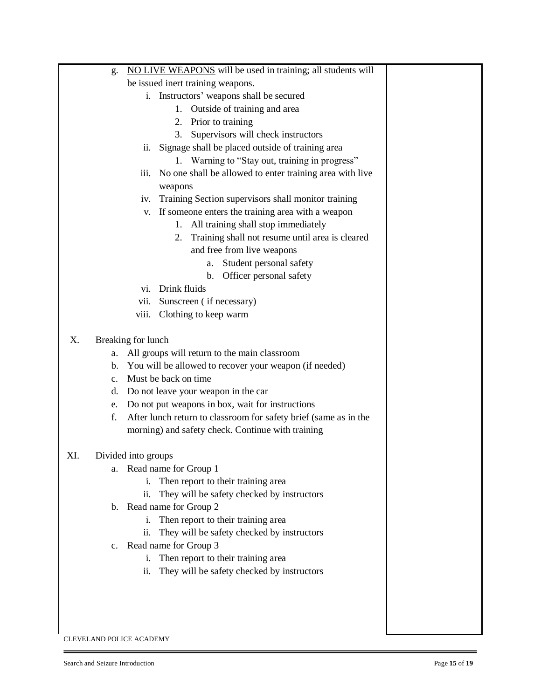| g.                       | NO LIVE WEAPONS will be used in training; all students will             |
|--------------------------|-------------------------------------------------------------------------|
|                          | be issued inert training weapons.                                       |
|                          | i. Instructors' weapons shall be secured                                |
|                          | 1. Outside of training and area                                         |
|                          | 2. Prior to training                                                    |
|                          | Supervisors will check instructors<br>3.                                |
|                          | ii. Signage shall be placed outside of training area                    |
|                          | Warning to "Stay out, training in progress"<br>1.                       |
|                          | No one shall be allowed to enter training area with live<br>iii.        |
|                          | weapons                                                                 |
|                          | Training Section supervisors shall monitor training<br>iv.              |
|                          | If someone enters the training area with a weapon<br>V.                 |
|                          | 1. All training shall stop immediately                                  |
|                          | Training shall not resume until area is cleared<br>2.                   |
|                          | and free from live weapons                                              |
|                          | Student personal safety<br>a.                                           |
|                          | Officer personal safety<br>b.                                           |
|                          | Drink fluids<br>vi.                                                     |
|                          | Sunscreen (if necessary)<br>vii.                                        |
|                          | Clothing to keep warm<br>viii.                                          |
| X.                       | Breaking for lunch                                                      |
| a.                       | All groups will return to the main classroom                            |
| b.                       | You will be allowed to recover your weapon (if needed)                  |
| $\mathbf{c}$ .           | Must be back on time                                                    |
| d.                       | Do not leave your weapon in the car                                     |
| e.                       | Do not put weapons in box, wait for instructions                        |
| f.                       | After lunch return to classroom for safety brief (same as in the        |
|                          | morning) and safety check. Continue with training                       |
|                          |                                                                         |
| XI.                      | Divided into groups                                                     |
|                          | a. Read name for Group 1                                                |
|                          | Then report to their training area<br>1.                                |
|                          | They will be safety checked by instructors<br>ii.                       |
|                          | b. Read name for Group 2                                                |
|                          | Then report to their training area<br>i.                                |
|                          | They will be safety checked by instructors<br>11.                       |
|                          | c. Read name for Group 3<br>Then report to their training area<br>1.    |
|                          | They will be safety checked by instructors<br>$\overline{\mathbf{u}}$ . |
|                          |                                                                         |
|                          |                                                                         |
|                          |                                                                         |
|                          |                                                                         |
| CLEVELAND POLICE ACADEMY |                                                                         |

þ,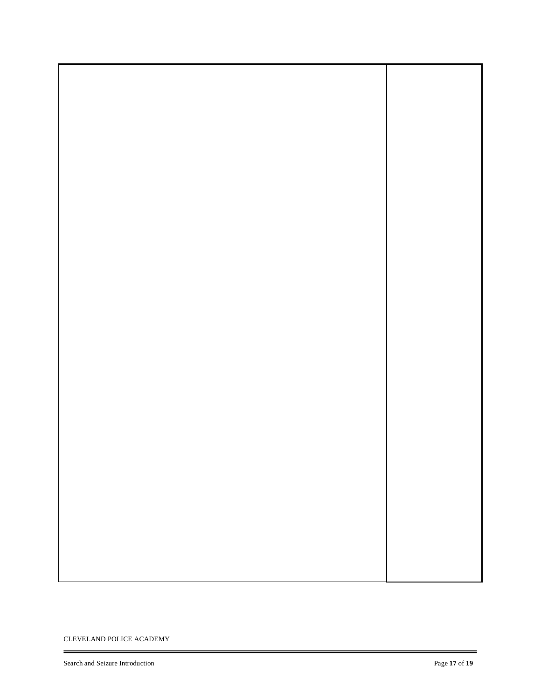$\blacksquare$